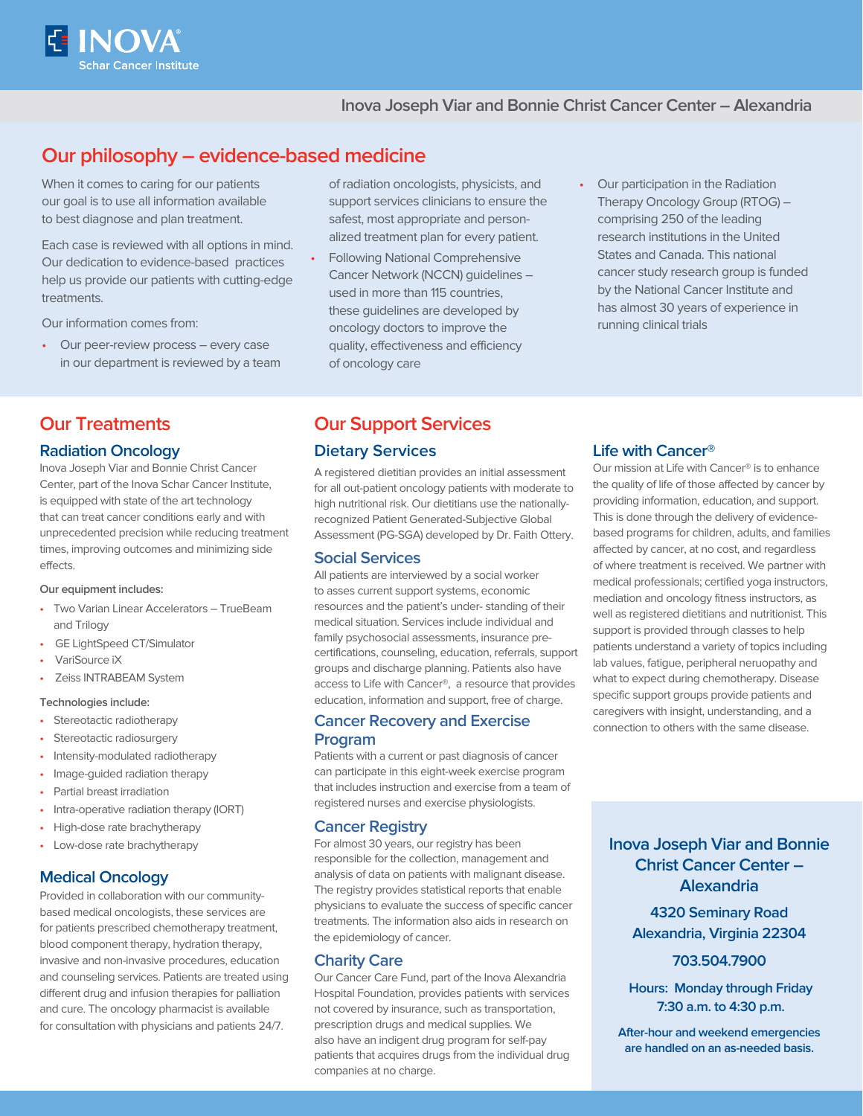

## **Inova Joseph Viar and Bonnie Christ Cancer Center – Alexandria**

# **Our philosophy – evidence-based medicine**

When it comes to caring for our patients our goal is to use all information available to best diagnose and plan treatment.

Each case is reviewed with all options in mind. Our dedication to evidence-based practices help us provide our patients with cutting-edge treatments.

Our information comes from:

• Our peer-review process – every case in our department is reviewed by a team

## **Our Treatments**

#### **Radiation Oncology**

Inova Joseph Viar and Bonnie Christ Cancer Center, part of the Inova Schar Cancer Institute, is equipped with state of the art technology that can treat cancer conditions early and with unprecedented precision while reducing treatment times, improving outcomes and minimizing side effects.

#### **Our equipment includes:**

- Two Varian Linear Accelerators TrueBeam and Trilogy
- GE LightSpeed CT/Simulator
- VariSource iX
- Zeiss INTRABEAM System

#### **Technologies include:**

- Stereotactic radiotherapy
- Stereotactic radiosurgery
- Intensity-modulated radiotherapy
- Image-guided radiation therapy
- Partial breast irradiation
- Intra-operative radiation therapy (IORT)
- High-dose rate brachytherapy
- Low-dose rate brachytherapy

## **Medical Oncology**

Provided in collaboration with our communitybased medical oncologists, these services are for patients prescribed chemotherapy treatment, blood component therapy, hydration therapy, invasive and non-invasive procedures, education and counseling services. Patients are treated using different drug and infusion therapies for palliation and cure. The oncology pharmacist is available for consultation with physicians and patients 24/7.

of radiation oncologists, physicists, and support services clinicians to ensure the safest, most appropriate and personalized treatment plan for every patient.

- Following National Comprehensive Cancer Network (NCCN) guidelines – used in more than 115 countries, these guidelines are developed by oncology doctors to improve the quality, effectiveness and efficiency of oncology care
- Our participation in the Radiation Therapy Oncology Group (RTOG) – comprising 250 of the leading research institutions in the United States and Canada. This national cancer study research group is funded by the National Cancer Institute and has almost 30 years of experience in running clinical trials

# **Our Support Services**

#### **Dietary Services**

A registered dietitian provides an initial assessment for all out-patient oncology patients with moderate to high nutritional risk. Our dietitians use the nationallyrecognized Patient Generated-Subjective Global Assessment (PG-SGA) developed by Dr. Faith Ottery.

#### **Social Services**

All patients are interviewed by a social worker to asses current support systems, economic resources and the patient's under- standing of their medical situation. Services include individual and family psychosocial assessments, insurance precertifications, counseling, education, referrals, support groups and discharge planning. Patients also have access to Life with Cancer®, a resource that provides education, information and support, free of charge.

## **Cancer Recovery and Exercise Program**

Patients with a current or past diagnosis of cancer can participate in this eight-week exercise program that includes instruction and exercise from a team of registered nurses and exercise physiologists.

## **Cancer Registry**

For almost 30 years, our registry has been responsible for the collection, management and analysis of data on patients with malignant disease. The registry provides statistical reports that enable physicians to evaluate the success of specific cancer treatments. The information also aids in research on the epidemiology of cancer.

#### **Charity Care**

Our Cancer Care Fund, part of the Inova Alexandria Hospital Foundation, provides patients with services not covered by insurance, such as transportation, prescription drugs and medical supplies. We also have an indigent drug program for self-pay patients that acquires drugs from the individual drug companies at no charge.

#### **Life with Cancer®**

Our mission at Life with Cancer® is to enhance the quality of life of those affected by cancer by providing information, education, and support. This is done through the delivery of evidencebased programs for children, adults, and families affected by cancer, at no cost, and regardless of where treatment is received. We partner with medical professionals; certified yoga instructors, mediation and oncology fitness instructors, as well as registered dietitians and nutritionist. This support is provided through classes to help patients understand a variety of topics including lab values, fatigue, peripheral neruopathy and what to expect during chemotherapy. Disease specific support groups provide patients and caregivers with insight, understanding, and a connection to others with the same disease.

**Inova Joseph Viar and Bonnie Christ Cancer Center – Alexandria 4320 Seminary Road**

**Alexandria, Virginia 22304** 

## **703.504.7900**

 **Hours: Monday through Friday 7:30 a.m. to 4:30 p.m.**

**After-hour and weekend emergencies are handled on an as-needed basis.**